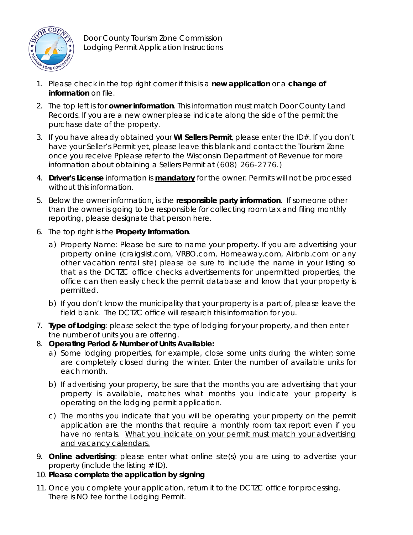

Door County Tourism Zone Commission Lodging Permit Application Instructions

- 1. Please check in the top right corner if this is a **new application** or a **change of information** on file.
- 2. The top left is for **owner information**. This information must match Door County Land Records. If you are a new owner please indicate along the side of the permit the purchase date of the property.
- 3. If you have already obtained your **WI Sellers Permit**, please enter the ID#. If you don't have your Seller's Permit yet, please leave this blank and contact the Tourism Zone once you receive Pplease refer to the Wisconsin Department of Revenue for more information about obtaining a Sellers Permit at (608) 266-2776.)
- 4. **Driver's License** information is *mandatory* for the owner. Permits will not be processed without this information.
- 5. Below the owner information, is the **responsible party information**. If someone other than the owner is going to be responsible for collecting room tax and filing monthly reporting, please designate that person here.
- 6. The top right is the **Property Information**.
	- a) Property Name: Please be sure to name your property. If you are advertising your property online (craigslist.com, VRBO.com, Homeaway.com, Airbnb.com or any other vacation rental site) please be sure to include the name in your listing so that as the DCTZC office checks advertisements for unpermitted properties, the office can then easily check the permit database and know that your property is permitted.
	- b) If you don't know the municipality that your property is a part of, please leave the field blank. The DCTZC office will research this information for you.
- 7. **Type of Lodging**: please select the type of lodging for your property, and then enter the number of units you are offering.
- 8. *Operating Period & Number of Units Available***:** 
	- a) Some lodging properties, for example, close some units during the winter; some are completely closed during the winter. Enter the number of available units for each month.
	- b) If advertising your property, be sure that the months you are advertising that your property is available, matches what months you indicate your property is operating on the lodging permit application.
	- c) The months you indicate that you will be operating your property on the permit application are the months that require a monthly room tax report even if you have no rentals. What you indicate on your permit must match your advertising and vacancy calendars.
- 9. **Online advertising**: please enter what online site(s) you are using to advertise your property (include the listing  $# ID$ ).
- 10. **Please complete the application by signing**
- 11. Once you complete your application, return it to the DCTZC office for processing. There is NO fee for the Lodging Permit.